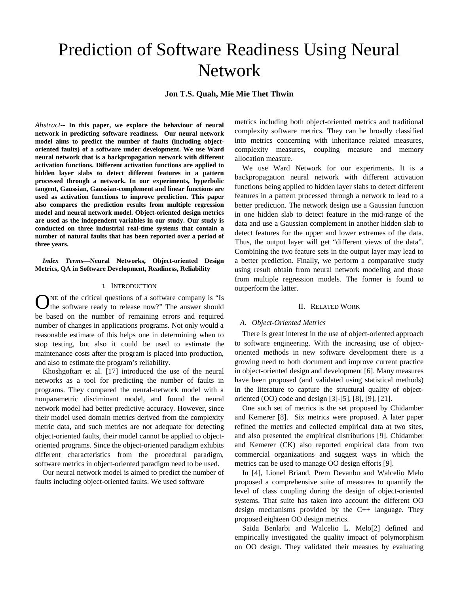# Prediction of Software Readiness Using Neural Network

**Jon T.S. Quah, Mie Mie Thet Thwin**

*Abstract*-- **In this paper, we explore the behaviour of neural network in predicting software readiness. Our neural network model aims to predict the number of faults (including objectoriented faults) of a software under development. We use Ward neural network that is a backpropagation network with different activation functions. Different activation functions are applied to hidden layer slabs to detect different features in a pattern processed through a network. In our experiments, hyperbolic tangent, Gaussian, Gaussian-complement and linear functions are used as activation functions to improve prediction. This paper also compares the prediction results from multiple regression model and neural network model. Object-oriented design metrics are used as the independent variables in our study. Our study is conducted on three industrial real-time systems that contain a number of natural faults that has been reported over a period of three years.**

*Index Terms***—Neural Networks, Object-oriented Design Metrics, QA in Software Development, Readiness, Reliability**

#### I. INTRODUCTION

NE of the critical questions of a software company is "Is ONE of the critical questions of a software company is "Is the software ready to release now?" The answer should be based on the number of remaining errors and required number of changes in applications programs. Not only would a reasonable estimate of this helps one in determining when to stop testing, but also it could be used to estimate the maintenance costs after the program is placed into production, and also to estimate the program's reliability.

Khoshgoftarr et al. [17] introduced the use of the neural networks as a tool for predicting the number of faults in programs. They compared the neural-network model with a nonparametric disciminant model, and found the neural network model had better predictive accuracy. However, since their model used domain metrics derived from the complexity metric data, and such metrics are not adequate for detecting object-oriented faults, their model cannot be applied to objectoriented programs. Since the object-oriented paradigm exhibits different characteristics from the procedural paradigm, software metrics in object-oriented paradigm need to be used.

Our neural network model is aimed to predict the number of faults including object-oriented faults. We used software

metrics including both object-oriented metrics and traditional complexity software metrics. They can be broadly classified into metrics concerning with inheritance related measures, complexity measures, coupling measure and memory allocation measure.

We use Ward Network for our experiments. It is a backpropagation neural network with different activation functions being applied to hidden layer slabs to detect different features in a pattern processed through a network to lead to a better prediction. The network design use a Gaussian function in one hidden slab to detect feature in the mid-range of the data and use a Gaussian complement in another hidden slab to detect features for the upper and lower extremes of the data. Thus, the output layer will get "different views of the data". Combining the two feature sets in the output layer may lead to a better prediction. Finally, we perform a comparative study using result obtain from neural network modeling and those from multiple regression models. The former is found to outperform the latter.

## II. RELATED WORK

## *A. Object-Oriented Metrics*

There is great interest in the use of object-oriented approach to software engineering. With the increasing use of objectoriented methods in new software development there is a growing need to both document and improve current practice in object-oriented design and development [6]. Many measures have been proposed (and validated using statistical methods) in the literature to capture the structural quality of objectoriented (OO) code and design [3]-[5], [8], [9], [21].

One such set of metrics is the set proposed by Chidamber and Kemerer [8]. Six metrics were proposed. A later paper refined the metrics and collected empirical data at two sites, and also presented the empirical distributions [9]. Chidamber and Kemerer (CK) also reported empirical data from two commercial organizations and suggest ways in which the metrics can be used to manage OO design efforts [9].

In [4], Lionel Briand, Prem Devanbu and Walcelio Melo proposed a comprehensive suite of measures to quantify the level of class coupling during the design of object-oriented systems. That suite has taken into account the different OO design mechanisms provided by the C++ language. They proposed eighteen OO design metrics.

Saida Benlarbi and Walcelio L. Melo[2] defined and empirically investigated the quality impact of polymorphism on OO design. They validated their measues by evaluating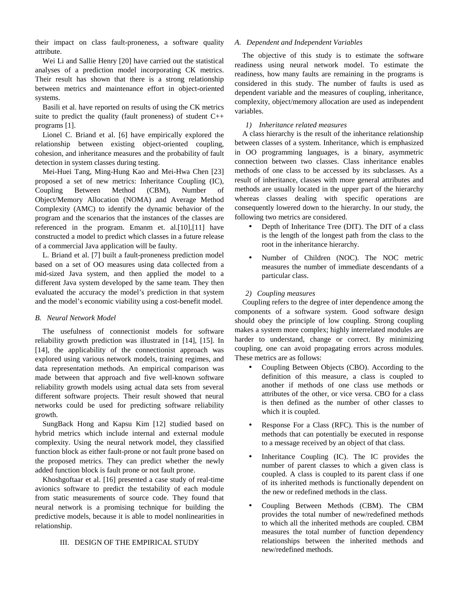their impact on class fault-proneness, a software quality attribute.

Wei Li and Sallie Henry [20] have carried out the statistical analyses of a prediction model incorporating CK metrics. Their result has shown that there is a strong relationship between metrics and maintenance effort in object-oriented systems.

Basili et al. have reported on results of using the CK metrics suite to predict the quality (fault proneness) of student  $C++$ programs [1].

Lionel C. Briand et al. [6] have empirically explored the relationship between existing object-oriented coupling, cohesion, and inheritance measures and the probability of fault detection in system classes during testing.

Mei-Huei Tang, Ming-Hung Kao and Mei-Hwa Chen [23] proposed a set of new metrics: Inheritance Coupling (IC), Coupling Between Method (CBM), Number of Object/Memory Allocation (NOMA) and Average Method Complexity (AMC) to identify the dynamic behavior of the program and the scenarios that the instances of the classes are referenced in the program. Emanm et. al.[10],[11] have constructed a model to predict which classes in a future release of a commercial Java application will be faulty.

L. Briand et al. [7] built a fault-proneness prediction model based on a set of OO measures using data collected from a mid-sized Java system, and then applied the model to a different Java system developed by the same team. They then evaluated the accuracy the model's prediction in that system and the model's economic viability using a cost-benefit model.

## *B. Neural Network Model*

The usefulness of connectionist models for software reliability growth prediction was illustrated in [14], [15]. In [14], the applicability of the connectionist approach was explored using various network models, training regimes, and data representation methods. An empirical comparison was made between that approach and five well-known software reliability growth models using actual data sets from several different software projects. Their result showed that neural networks could be used for predicting software reliability growth.

SungBack Hong and Kapsu Kim [12] studied based on hybrid metrics which include internal and external module complexity. Using the neural network model, they classified function block as either fault-prone or not fault prone based on the proposed metrics. They can predict whether the newly added function block is fault prone or not fault prone.

Khoshgoftaar et al. [16] presented a case study of real-time avionics software to predict the testability of each module from static measurements of source code. They found that neural network is a promising technique for building the predictive models, because it is able to model nonlinearities in relationship.

# III. DESIGN OF THE EMPIRICAL STUDY

## *A. Dependent and Independent Variables*

The objective of this study is to estimate the software readiness using neural network model. To estimate the readiness, how many faults are remaining in the programs is considered in this study. The number of faults is used as dependent variable and the measures of coupling, inheritance, complexity, object/memory allocation are used as independent variables.

# *1) Inheritance related measures*

A class hierarchy is the result of the inheritance relationship between classes of a system. Inheritance, which is emphasized in OO programming languages, is a binary, asymmetric connection between two classes. Class inheritance enables methods of one class to be accessed by its subclasses. As a result of inheritance, classes with more general attributes and methods are usually located in the upper part of the hierarchy whereas classes dealing with specific operations are consequently lowered down to the hierarchy. In our study, the following two metrics are considered.

- Depth of Inheritance Tree (DIT). The DIT of a class is the length of the longest path from the class to the root in the inheritance hierarchy.
- Number of Children (NOC). The NOC metric measures the number of immediate descendants of a particular class.

# *2) Coupling measures*

Coupling refers to the degree of inter dependence among the components of a software system. Good software design should obey the principle of low coupling. Strong coupling makes a system more complex; highly interrelated modules are harder to understand, change or correct. By minimizing coupling, one can avoid propagating errors across modules. These metrics are as follows:

- Coupling Between Objects (CBO). According to the definition of this measure, a class is coupled to another if methods of one class use methods or attributes of the other, or vice versa. CBO for a class is then defined as the number of other classes to which it is coupled.
- Response For a Class (RFC). This is the number of methods that can potentially be executed in response to a message received by an object of that class.
- Inheritance Coupling (IC). The IC provides the number of parent classes to which a given class is coupled. A class is coupled to its parent class if one of its inherited methods is functionally dependent on the new or redefined methods in the class.
- Coupling Between Methods (CBM). The CBM provides the total number of new/redefined methods to which all the inherited methods are coupled. CBM measures the total number of function dependency relationships between the inherited methods and new/redefined methods.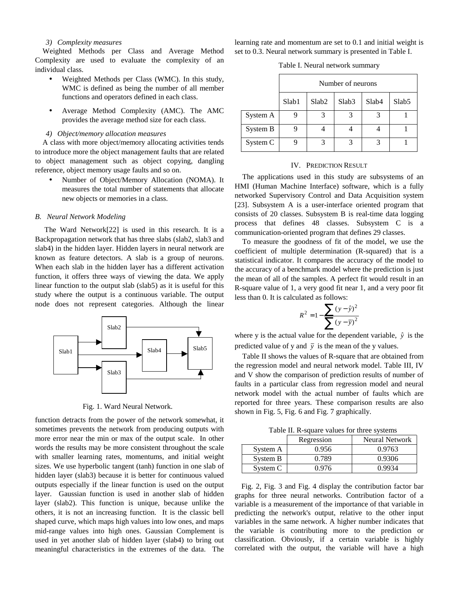## *3) Complexity measures*

Weighted Methods per Class and Average Method Complexity are used to evaluate the complexity of an individual class.

- Weighted Methods per Class (WMC). In this study, WMC is defined as being the number of all member functions and operators defined in each class.
- Average Method Complexity (AMC). The AMC provides the average method size for each class.

## *4) Object/memory allocation measures*

A class with more object/memory allocating activities tends to introduce more the object management faults that are related to object management such as object copying, dangling reference, object memory usage faults and so on.

• Number of Object/Memory Allocation (NOMA). It measures the total number of statements that allocate new objects or memories in a class.

#### *B. Neural Network Modeling*

 The Ward Network[22] is used in this research. It is a Backpropagation network that has three slabs (slab2, slab3 and slab4) in the hidden layer. Hidden layers in neural network are known as feature detectors. A slab is a group of neurons. When each slab in the hidden layer has a different activation function, it offers three ways of viewing the data. We apply linear function to the output slab (slab5) as it is useful for this study where the output is a continuous variable. The output node does not represent categories. Although the linear



Fig. 1. Ward Neural Network.

function detracts from the power of the network somewhat, it sometimes prevents the network from producing outputs with more error near the min or max of the output scale. In other words the results may be more consistent throughout the scale with smaller learning rates, momentums, and initial weight sizes. We use hyperbolic tangent (tanh) function in one slab of hidden layer (slab3) because it is better for continuous valued outputs especially if the linear function is used on the output layer. Gaussian function is used in another slab of hidden layer (slab2). This function is unique, because unlike the others, it is not an increasing function. It is the classic bell shaped curve, which maps high values into low ones, and maps mid-range values into high ones. Gaussian Complement is used in yet another slab of hidden layer (slab4) to bring out meaningful characteristics in the extremes of the data. The

learning rate and momentum are set to 0.1 and initial weight is set to 0.3. Neural network summary is presented in Table I.

Table I. Neural network summary

|          | Number of neurons |                   |                   |                   |                   |  |
|----------|-------------------|-------------------|-------------------|-------------------|-------------------|--|
|          | Slab1             | Slab <sub>2</sub> | Slab <sub>3</sub> | Slab <sub>4</sub> | Slab <sub>5</sub> |  |
| System A |                   |                   |                   |                   |                   |  |
| System B |                   |                   |                   |                   |                   |  |
| System C |                   | 2                 | 3                 | 2                 |                   |  |

#### IV. PREDICTION RESULT

The applications used in this study are subsystems of an HMI (Human Machine Interface) software, which is a fully networked Supervisory Control and Data Acquisition system [23]. Subsystem A is a user-interface oriented program that consists of 20 classes. Subsystem B is real-time data logging process that defines 48 classes. Subsystem C is a communication-oriented program that defines 29 classes.

To measure the goodness of fit of the model, we use the coefficient of multiple determination (R-squared) that is a statistical indicator. It compares the accuracy of the model to the accuracy of a benchmark model where the prediction is just the mean of all of the samples. A perfect fit would result in an R-square value of 1, a very good fit near 1, and a very poor fit less than 0. It is calculated as follows:

$$
R^{2} = 1 - \frac{\sum (y - \hat{y})^{2}}{\sum (y - \bar{y})^{2}}
$$

where y is the actual value for the dependent variable,  $\hat{y}$  is the predicted value of y and  $\bar{y}$  is the mean of the y values.

Table II shows the values of R-square that are obtained from the regression model and neural network model. Table III, IV and V show the comparison of prediction results of number of faults in a particular class from regression model and neural network model with the actual number of faults which are reported for three years. These comparison results are also shown in Fig. 5, Fig. 6 and Fig. 7 graphically.

Table II. R-square values for three systems

|          | Regression | Neural Network |
|----------|------------|----------------|
| System A | 0.956      | 0.9763         |
| System B | 0.789      | 0.9306         |
| System C | 0.976      | 0.9934         |

Fig. 2, Fig. 3 and Fig. 4 display the contribution factor bar graphs for three neural networks. Contribution factor of a variable is a measurement of the importance of that variable in predicting the network's output, relative to the other input variables in the same network. A higher number indicates that the variable is contributing more to the prediction or classification. Obviously, if a certain variable is highly correlated with the output, the variable will have a high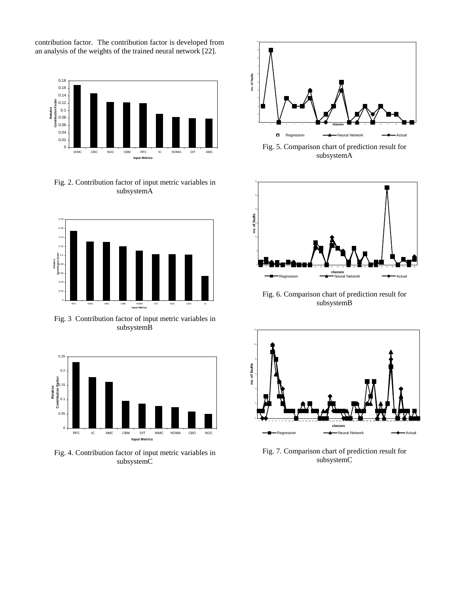contribution factor. The contribution factor is developed from an analysis of the weights of the trained neural network [22].



Fig. 2. Contribution factor of input metric variables in subsystemA



Fig. 3 Contribution factor of input metric variables in subsystemB



Fig. 4. Contribution factor of input metric variables in subsystemC



5 no. of faults 20 25 30 1 2 3 4 5 6 7 8 9 10 11 12 13 14 15 16 17 18 19 20 21 22 23 24 25 26 27 28 29 **classes** Regression Neural Network Actual **no. of faults**

Fig. 6. Comparison chart of prediction result for subsystemB



Fig. 7. Comparison chart of prediction result for subsystemC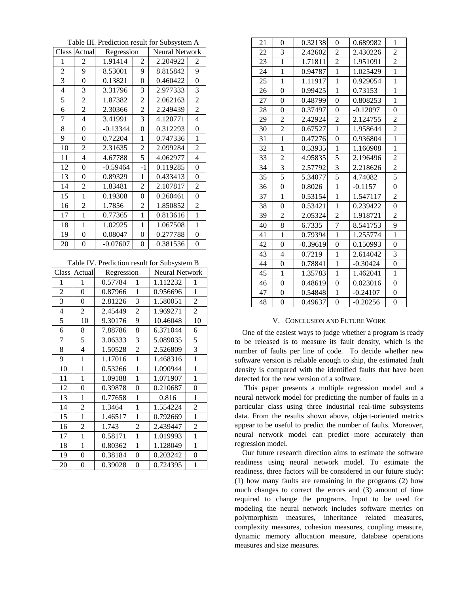Table III. Prediction result for Subsystem A

| Class          | Actual         | Regression |                | <b>Neural Network</b> |                |
|----------------|----------------|------------|----------------|-----------------------|----------------|
| 1              | 2              | 1.91414    | 2              | 2.204922              | 2              |
| $\overline{2}$ | 9              | 8.53001    | 9              | 8.815842              | 9              |
| 3              | $\overline{0}$ | 0.13821    | 0              | 0.460422              | 0              |
| 4              | 3              | 3.31796    | 3              | 2.977333              | 3              |
| 5              | $\overline{2}$ | 1.87382    | $\overline{c}$ | 2.062163              | $\overline{2}$ |
| 6              | 2              | 2.30366    | 2              | 2.249439              | $\overline{c}$ |
| 7              | 4              | 3.41991    | 3              | 4.120771              | 4              |
| 8              | $\overline{0}$ | $-0.13344$ | 0              | 0.312293              | $\overline{0}$ |
| 9              | $\overline{0}$ | 0.72204    | 1              | 0.747336              | 1              |
| 10             | 2              | 2.31635    | 2              | 2.099284              | 2              |
| 11             | 4              | 4.67788    | 5              | 4.062977              | 4              |
| 12             | 0              | $-0.59464$ | $-1$           | 0.119285              | $\overline{0}$ |
| 13             | $\theta$       | 0.89329    | 1              | 0.433413              | 0              |
| 14             | 2              | 1.83481    | 2              | 2.107817              | 2              |
| 15             | 1              | 0.19308    | 0              | 0.260461              | $\overline{0}$ |
| 16             | 2              | 1.7856     | 2              | 1.850852              | 2              |
| 17             | 1              | 0.77365    | $\mathbf{1}$   | 0.813616              | $\mathbf{1}$   |
| 18             | 1              | 1.02925    | 1              | 1.067508              | $\mathbf{1}$   |
| 19             | 0              | 0.08047    | 0              | 0.277788              | $\overline{0}$ |
| 20             | 0              | $-0.07607$ | 0              | 0.381536              | 0              |

Table IV. Prediction result for Subsystem B

| Class          | Actual         | Regression |                | <b>Neural Network</b> |                |
|----------------|----------------|------------|----------------|-----------------------|----------------|
| 1              | 1              | 0.57784    | 1              | 1.112232              | 1              |
| $\overline{2}$ | 0              | 0.87966    | 1              | 0.956696              | 1              |
| 3              | 0              | 2.81226    | 3              | 1.580051              | $\overline{2}$ |
| 4              | $\overline{c}$ | 2.45449    | $\overline{2}$ | 1.969271              | $\overline{c}$ |
| 5              | 10             | 9.30176    | 9              | 10.46048              | 10             |
| 6              | 8              | 7.88786    | 8              | 6.371044              | 6              |
| 7              | 5              | 3.06333    | 3              | 5.089035              | 5              |
| 8              | 4              | 1.50528    | $\overline{2}$ | 2.526809              | 3              |
| 9              | 1              | 1.17016    | 1              | 1.468316              | $\mathbf{1}$   |
| 10             | 1              | 0.53266    | 1              | 1.090944              | $\mathbf 1$    |
| 11             | 1              | 1.09188    | 1              | 1.071907              | 1              |
| 12             | 0              | 0.39878    | 0              | 0.210687              | $\overline{0}$ |
| 13             | 1              | 0.77658    | 1              | 0.816                 | 1              |
| 14             | $\overline{2}$ | 1.3464     | 1              | 1.554224              | $\overline{2}$ |
| 15             | 1              | 1.46517    | 1              | 0.792669              | 1              |
| 16             | $\overline{2}$ | 1.743      | $\overline{c}$ | 2.439447              | $\overline{2}$ |
| 17             | $\mathbf{1}$   | 0.58171    | 1              | 1.019993              | 1              |
| 18             | 1              | 0.80362    | $\mathbf{1}$   | 1.128049              | 1              |
| 19             | 0              | 0.38184    | 0              | 0.203242              | $\overline{0}$ |
| 20             | $\theta$       | 0.39028    | 0              | 0.724395              | 1              |

| 21 | $\overline{0}$   | 0.32138    | 0                | 0.689982   | $\mathbf{1}$   |
|----|------------------|------------|------------------|------------|----------------|
| 22 | 3                | 2.42602    | $\overline{2}$   | 2.430226   | $\overline{2}$ |
| 23 | $\mathbf{1}$     | 1.71811    | $\overline{2}$   | 1.951091   | $\overline{c}$ |
| 24 | 1                | 0.94787    | $\mathbf{1}$     | 1.025429   | $\mathbf{1}$   |
| 25 | $\mathbf{1}$     | 1.11917    | $\mathbf{1}$     | 0.929054   | $\mathbf{1}$   |
| 26 | $\theta$         | 0.99425    | $\mathbf{1}$     | 0.73153    | $\mathbf{1}$   |
| 27 | $\overline{0}$   | 0.48799    | 0                | 0.808253   | $\mathbf{1}$   |
| 28 | $\overline{0}$   | 0.37497    | $\boldsymbol{0}$ | $-0.12097$ | $\overline{0}$ |
| 29 | $\overline{2}$   | 2.42924    | $\overline{2}$   | 2.124755   | $\overline{c}$ |
| 30 | $\overline{c}$   | 0.67527    | $\mathbf{1}$     | 1.958644   | $\overline{c}$ |
| 31 | $\mathbf{1}$     | 0.47276    | $\boldsymbol{0}$ | 0.936804   | $\mathbf{1}$   |
| 32 | $\mathbf{1}$     | 0.53935    | $\mathbf{1}$     | 1.160908   | $\mathbf{1}$   |
| 33 | $\overline{c}$   | 4.95835    | 5                | 2.196496   | $\overline{c}$ |
| 34 | 3                | 2.57792    | 3                | 2.218626   | $\overline{c}$ |
| 35 | 5                | 5.34077    | 5                | 4.74082    | 5              |
| 36 | $\overline{0}$   | 0.8026     | $\mathbf{1}$     | $-0.1157$  | $\overline{0}$ |
| 37 | $\mathbf{1}$     | 0.53154    | $\mathbf{1}$     | 1.547117   | $\overline{c}$ |
| 38 | $\boldsymbol{0}$ | 0.53421    | $\mathbf{1}$     | 0.239422   | 0              |
| 39 | $\overline{2}$   | 2.05324    | $\overline{c}$   | 1.918721   | $\overline{c}$ |
| 40 | 8                | 6.7335     | 7                | 8.541753   | 9              |
| 41 | $\mathbf{1}$     | 0.79394    | $\mathbf{1}$     | 1.255774   | $\mathbf{1}$   |
| 42 | $\overline{0}$   | $-0.39619$ | $\overline{0}$   | 0.150993   | $\overline{0}$ |
| 43 | $\overline{4}$   | 0.7219     | $\mathbf{1}$     | 2.614042   | 3              |
| 44 | $\overline{0}$   | 0.78841    | $\mathbf{1}$     | $-0.30424$ | 0              |
| 45 | $\mathbf{1}$     | 1.35783    | $\mathbf{1}$     | 1.462041   | $\mathbf{1}$   |
| 46 | $\overline{0}$   | 0.48619    | $\boldsymbol{0}$ | 0.023016   | 0              |
| 47 | $\overline{0}$   | 0.54848    | $\mathbf{1}$     | $-0.24107$ | 0              |
| 48 | $\theta$         | 0.49637    | $\theta$         | $-0.20256$ | 0              |

# V. CONCLUSION AND FUTURE WORK

One of the easiest ways to judge whether a program is ready to be released is to measure its fault density, which is the number of faults per line of code. To decide whether new software version is reliable enough to ship, the estimated fault density is compared with the identified faults that have been detected for the new version of a software.

 This paper presents a multiple regression model and a neural network model for predicting the number of faults in a particular class using three industrial real-time subsystems data. From the results shown above, object-oriented metrics appear to be useful to predict the number of faults. Moreover, neural network model can predict more accurately than regression model.

Our future research direction aims to estimate the software readiness using neural network model. To estimate the readiness, three factors will be considered in our future study: (1) how many faults are remaining in the programs (2) how much changes to correct the errors and (3) amount of time required to change the programs. Input to be used for modeling the neural network includes software metrics on polymorphism measures, inheritance related measures, complexity measures, cohesion measures, coupling measure, dynamic memory allocation measure, database operations measures and size measures.